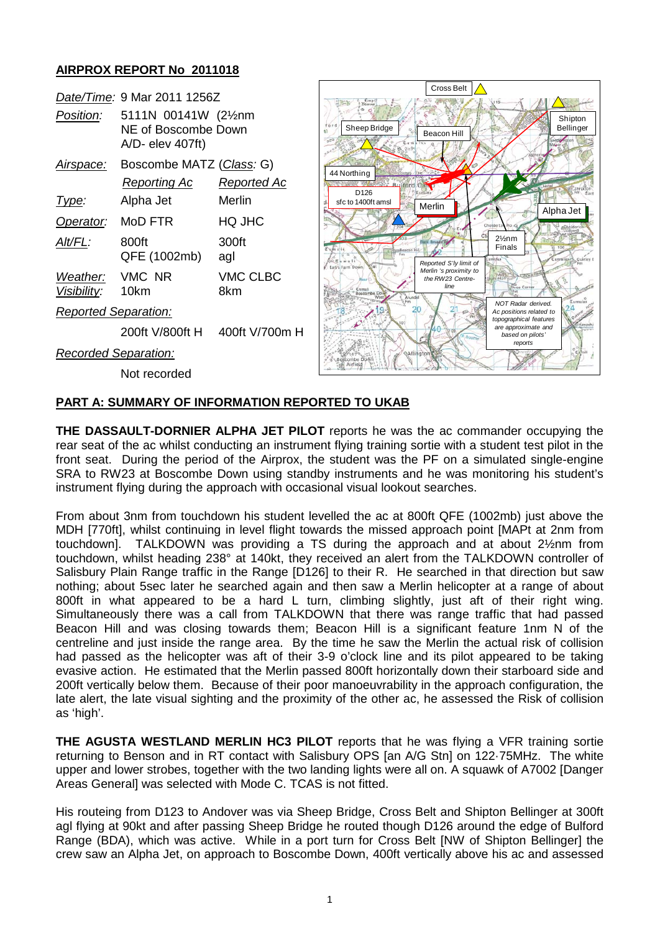## **AIRPROX REPORT No 2011018**

|                             |                                                                              |                        | Cross Belt                                                                                                                                 |
|-----------------------------|------------------------------------------------------------------------------|------------------------|--------------------------------------------------------------------------------------------------------------------------------------------|
| Date/Time: 9 Mar 2011 1256Z |                                                                              |                        |                                                                                                                                            |
| Position:                   | 5111N 00141W (21/ <sub>2</sub> nm<br>NE of Boscombe Down<br>A/D- elev 407ft) |                        | Shipto<br>Sheep Bridge<br>Belling<br>Beacon Hill                                                                                           |
| <u>Airspace:</u>            | Boscombe MATZ (Class: G)                                                     |                        |                                                                                                                                            |
|                             | <b>Reporting Ac</b>                                                          | Reported Ac            | 44 Northing<br><b>A. Bulford</b>                                                                                                           |
| Type:                       | Alpha Jet                                                                    | Merlin                 | D <sub>126</sub><br>sfc to 1400ft amsl<br>Merlin                                                                                           |
| Operator:                   | MoD FTR                                                                      | HQ JHC                 | Alpha Jet<br>Cholderto                                                                                                                     |
| Alt/FL:                     | 800ft<br>QFE (1002mb)                                                        | 300ft<br>agl           | $2\frac{1}{2}$ nm<br>Finals<br>amilla.<br>Reported S'ly limit of                                                                           |
| Weather:<br>Visibility:     | VMC NR<br>10km                                                               | <b>VMC CLBC</b><br>8km | Earl's Farm Down<br>8141<br>Merlin 's proximity to<br>the RW23 Centre-<br>Three Corner<br>line<br><b>Cumuli</b><br>Boscombe Dow<br>Arundel |
| <b>Reported Separation:</b> |                                                                              |                        | NOT Radar derived.<br>Ac positions related to<br>topographical features                                                                    |
|                             | 200ft V/800ft H                                                              | 400ft V/700m H         | are approximate and<br>based on pilots'                                                                                                    |
| Recorded Separation:        |                                                                              |                        | reports<br><b>QAllington</b>                                                                                                               |
|                             | Not recorded                                                                 |                        |                                                                                                                                            |

Shipton **Bellinger** 

## **PART A: SUMMARY OF INFORMATION REPORTED TO UKAB**

**THE DASSAULT-DORNIER ALPHA JET PILOT** reports he was the ac commander occupying the rear seat of the ac whilst conducting an instrument flying training sortie with a student test pilot in the front seat. During the period of the Airprox, the student was the PF on a simulated single-engine SRA to RW23 at Boscombe Down using standby instruments and he was monitoring his student's instrument flying during the approach with occasional visual lookout searches.

From about 3nm from touchdown his student levelled the ac at 800ft QFE (1002mb) just above the MDH [770ft], whilst continuing in level flight towards the missed approach point [MAPt at 2nm from touchdown]. TALKDOWN was providing a TS during the approach and at about 2½nm from touchdown, whilst heading 238° at 140kt, they received an alert from the TALKDOWN controller of Salisbury Plain Range traffic in the Range [D126] to their R. He searched in that direction but saw nothing; about 5sec later he searched again and then saw a Merlin helicopter at a range of about 800ft in what appeared to be a hard L turn, climbing slightly, just aft of their right wing. Simultaneously there was a call from TALKDOWN that there was range traffic that had passed Beacon Hill and was closing towards them; Beacon Hill is a significant feature 1nm N of the centreline and just inside the range area. By the time he saw the Merlin the actual risk of collision had passed as the helicopter was aft of their 3-9 o'clock line and its pilot appeared to be taking evasive action. He estimated that the Merlin passed 800ft horizontally down their starboard side and 200ft vertically below them. Because of their poor manoeuvrability in the approach configuration, the late alert, the late visual sighting and the proximity of the other ac, he assessed the Risk of collision as 'high'.

**THE AGUSTA WESTLAND MERLIN HC3 PILOT** reports that he was flying a VFR training sortie returning to Benson and in RT contact with Salisbury OPS [an A/G Stn] on 122·75MHz. The white upper and lower strobes, together with the two landing lights were all on. A squawk of A7002 [Danger Areas General] was selected with Mode C. TCAS is not fitted.

His routeing from D123 to Andover was via Sheep Bridge, Cross Belt and Shipton Bellinger at 300ft agl flying at 90kt and after passing Sheep Bridge he routed though D126 around the edge of Bulford Range (BDA), which was active. While in a port turn for Cross Belt [NW of Shipton Bellinger] the crew saw an Alpha Jet, on approach to Boscombe Down, 400ft vertically above his ac and assessed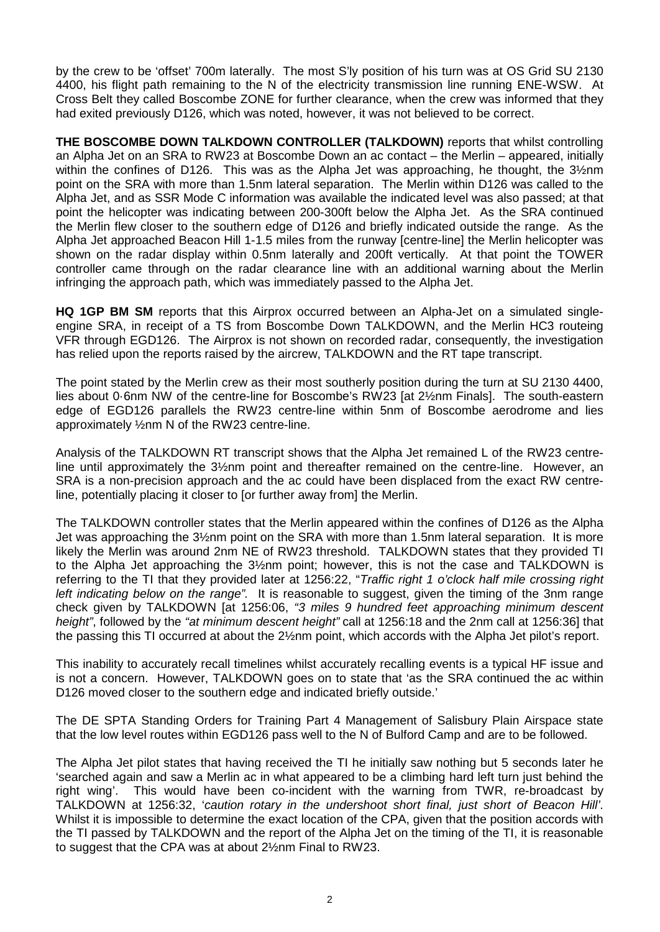by the crew to be 'offset' 700m laterally. The most S'ly position of his turn was at OS Grid SU 2130 4400, his flight path remaining to the N of the electricity transmission line running ENE-WSW. At Cross Belt they called Boscombe ZONE for further clearance, when the crew was informed that they had exited previously D126, which was noted, however, it was not believed to be correct.

**THE BOSCOMBE DOWN TALKDOWN CONTROLLER (TALKDOWN)** reports that whilst controlling an Alpha Jet on an SRA to RW23 at Boscombe Down an ac contact – the Merlin – appeared, initially within the confines of D126. This was as the Alpha Jet was approaching, he thought, the 3½nm point on the SRA with more than 1.5nm lateral separation. The Merlin within D126 was called to the Alpha Jet, and as SSR Mode C information was available the indicated level was also passed; at that point the helicopter was indicating between 200-300ft below the Alpha Jet. As the SRA continued the Merlin flew closer to the southern edge of D126 and briefly indicated outside the range. As the Alpha Jet approached Beacon Hill 1-1.5 miles from the runway [centre-line] the Merlin helicopter was shown on the radar display within 0.5nm laterally and 200ft vertically. At that point the TOWER controller came through on the radar clearance line with an additional warning about the Merlin infringing the approach path, which was immediately passed to the Alpha Jet.

**HQ 1GP BM SM** reports that this Airprox occurred between an Alpha-Jet on a simulated singleengine SRA, in receipt of a TS from Boscombe Down TALKDOWN, and the Merlin HC3 routeing VFR through EGD126. The Airprox is not shown on recorded radar, consequently, the investigation has relied upon the reports raised by the aircrew, TALKDOWN and the RT tape transcript.

The point stated by the Merlin crew as their most southerly position during the turn at SU 2130 4400, lies about 0·6nm NW of the centre-line for Boscombe's RW23 [at 2½nm Finals]. The south-eastern edge of EGD126 parallels the RW23 centre-line within 5nm of Boscombe aerodrome and lies approximately ½nm N of the RW23 centre-line.

Analysis of the TALKDOWN RT transcript shows that the Alpha Jet remained L of the RW23 centreline until approximately the 3½nm point and thereafter remained on the centre-line. However, an SRA is a non-precision approach and the ac could have been displaced from the exact RW centreline, potentially placing it closer to [or further away from] the Merlin.

The TALKDOWN controller states that the Merlin appeared within the confines of D126 as the Alpha Jet was approaching the 3½nm point on the SRA with more than 1.5nm lateral separation. It is more likely the Merlin was around 2nm NE of RW23 threshold. TALKDOWN states that they provided TI to the Alpha Jet approaching the 3½nm point; however, this is not the case and TALKDOWN is referring to the TI that they provided later at 1256:22, "*Traffic right 1 o'clock half mile crossing right left indicating below on the range".* It is reasonable to suggest, given the timing of the 3nm range check given by TALKDOWN [at 1256:06, *"3 miles 9 hundred feet approaching minimum descent height"*, followed by the *"at minimum descent height"* call at 1256:18 and the 2nm call at 1256:36] that the passing this TI occurred at about the 2½nm point, which accords with the Alpha Jet pilot's report.

This inability to accurately recall timelines whilst accurately recalling events is a typical HF issue and is not a concern. However, TALKDOWN goes on to state that 'as the SRA continued the ac within D126 moved closer to the southern edge and indicated briefly outside.'

The DE SPTA Standing Orders for Training Part 4 Management of Salisbury Plain Airspace state that the low level routes within EGD126 pass well to the N of Bulford Camp and are to be followed.

The Alpha Jet pilot states that having received the TI he initially saw nothing but 5 seconds later he 'searched again and saw a Merlin ac in what appeared to be a climbing hard left turn just behind the right wing'. This would have been co-incident with the warning from TWR, re-broadcast by TALKDOWN at 1256:32, '*caution rotary in the undershoot short final, just short of Beacon Hill'*. Whilst it is impossible to determine the exact location of the CPA, given that the position accords with the TI passed by TALKDOWN and the report of the Alpha Jet on the timing of the TI, it is reasonable to suggest that the CPA was at about 2½nm Final to RW23.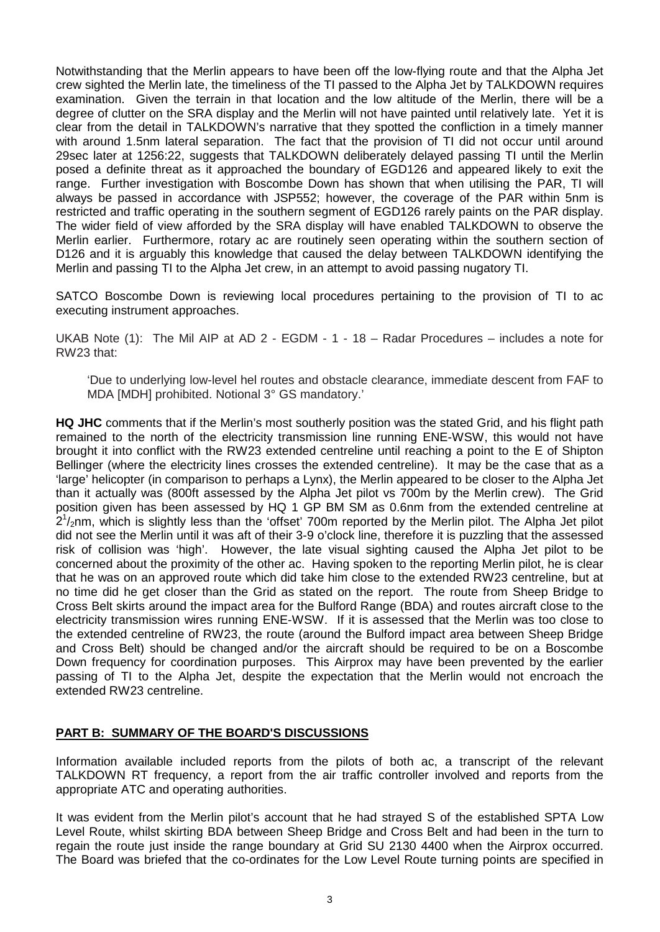Notwithstanding that the Merlin appears to have been off the low-flying route and that the Alpha Jet crew sighted the Merlin late, the timeliness of the TI passed to the Alpha Jet by TALKDOWN requires examination. Given the terrain in that location and the low altitude of the Merlin, there will be a degree of clutter on the SRA display and the Merlin will not have painted until relatively late. Yet it is clear from the detail in TALKDOWN's narrative that they spotted the confliction in a timely manner with around 1.5nm lateral separation. The fact that the provision of TI did not occur until around 29sec later at 1256:22, suggests that TALKDOWN deliberately delayed passing TI until the Merlin posed a definite threat as it approached the boundary of EGD126 and appeared likely to exit the range. Further investigation with Boscombe Down has shown that when utilising the PAR, TI will always be passed in accordance with JSP552; however, the coverage of the PAR within 5nm is restricted and traffic operating in the southern segment of EGD126 rarely paints on the PAR display. The wider field of view afforded by the SRA display will have enabled TALKDOWN to observe the Merlin earlier. Furthermore, rotary ac are routinely seen operating within the southern section of D126 and it is arguably this knowledge that caused the delay between TALKDOWN identifying the Merlin and passing TI to the Alpha Jet crew, in an attempt to avoid passing nugatory TI.

SATCO Boscombe Down is reviewing local procedures pertaining to the provision of TI to ac executing instrument approaches.

UKAB Note (1): The Mil AIP at AD 2 - EGDM - 1 - 18 – Radar Procedures – includes a note for RW23 that:

'Due to underlying low-level hel routes and obstacle clearance, immediate descent from FAF to MDA [MDH] prohibited. Notional 3° GS mandatory.'

**HQ JHC** comments that if the Merlin's most southerly position was the stated Grid, and his flight path remained to the north of the electricity transmission line running ENE-WSW, this would not have brought it into conflict with the RW23 extended centreline until reaching a point to the E of Shipton Bellinger (where the electricity lines crosses the extended centreline). It may be the case that as a 'large' helicopter (in comparison to perhaps a Lynx), the Merlin appeared to be closer to the Alpha Jet than it actually was (800ft assessed by the Alpha Jet pilot vs 700m by the Merlin crew). The Grid position given has been assessed by HQ 1 GP BM SM as 0.6nm from the extended centreline at  $2^{1}/_{2}$ nm, which is slightly less than the 'offset' 700m reported by the Merlin pilot. The Alpha Jet pilot did not see the Merlin until it was aft of their 3-9 o'clock line, therefore it is puzzling that the assessed risk of collision was 'high'. However, the late visual sighting caused the Alpha Jet pilot to be concerned about the proximity of the other ac. Having spoken to the reporting Merlin pilot, he is clear that he was on an approved route which did take him close to the extended RW23 centreline, but at no time did he get closer than the Grid as stated on the report. The route from Sheep Bridge to Cross Belt skirts around the impact area for the Bulford Range (BDA) and routes aircraft close to the electricity transmission wires running ENE-WSW. If it is assessed that the Merlin was too close to the extended centreline of RW23, the route (around the Bulford impact area between Sheep Bridge and Cross Belt) should be changed and/or the aircraft should be required to be on a Boscombe Down frequency for coordination purposes. This Airprox may have been prevented by the earlier passing of TI to the Alpha Jet, despite the expectation that the Merlin would not encroach the extended RW23 centreline.

## **PART B: SUMMARY OF THE BOARD'S DISCUSSIONS**

Information available included reports from the pilots of both ac, a transcript of the relevant TALKDOWN RT frequency, a report from the air traffic controller involved and reports from the appropriate ATC and operating authorities.

It was evident from the Merlin pilot's account that he had strayed S of the established SPTA Low Level Route, whilst skirting BDA between Sheep Bridge and Cross Belt and had been in the turn to regain the route just inside the range boundary at Grid SU 2130 4400 when the Airprox occurred. The Board was briefed that the co-ordinates for the Low Level Route turning points are specified in